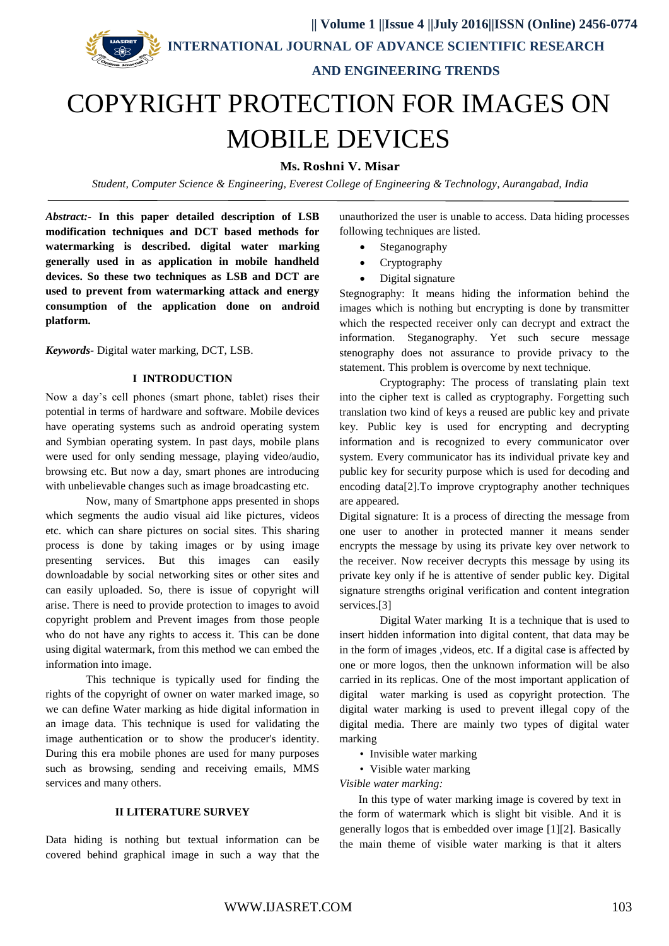

# COPYRIGHT PROTECTION FOR IMAGES ON MOBILE DEVICES

**Ms. Roshni V. Misar**

*Student, Computer Science & Engineering, Everest College of Engineering & Technology, Aurangabad, India*

*Abstract:-* **In this paper detailed description of LSB modification techniques and DCT based methods for watermarking is described. digital water marking generally used in as application in mobile handheld devices. So these two techniques as LSB and DCT are used to prevent from watermarking attack and energy consumption of the application done on android platform.** 

*Keywords-* Digital water marking, DCT, LSB.

#### **I INTRODUCTION**

Now a day"s cell phones (smart phone, tablet) rises their potential in terms of hardware and software. Mobile devices have operating systems such as android operating system and Symbian operating system. In past days, mobile plans were used for only sending message, playing video/audio, browsing etc. But now a day, smart phones are introducing with unbelievable changes such as image broadcasting etc.

Now, many of Smartphone apps presented in shops which segments the audio visual aid like pictures, videos etc. which can share pictures on social sites. This sharing process is done by taking images or by using image presenting services. But this images can easily downloadable by social networking sites or other sites and can easily uploaded. So, there is issue of copyright will arise. There is need to provide protection to images to avoid copyright problem and Prevent images from those people who do not have any rights to access it. This can be done using digital watermark, from this method we can embed the information into image.

This technique is typically used for finding the rights of the copyright of owner on water marked image, so we can define Water marking as hide digital information in an image data. This technique is used for validating the image authentication or to show the producer's identity. During this era mobile phones are used for many purposes such as browsing, sending and receiving emails, MMS services and many others.

#### **II LITERATURE SURVEY**

Data hiding is nothing but textual information can be covered behind graphical image in such a way that the unauthorized the user is unable to access. Data hiding processes following techniques are listed.

- Steganography
- Cryptography
- Digital signature

Stegnography: It means hiding the information behind the images which is nothing but encrypting is done by transmitter which the respected receiver only can decrypt and extract the information. Steganography. Yet such secure message stenography does not assurance to provide privacy to the statement. This problem is overcome by next technique.

Cryptography: The process of translating plain text into the cipher text is called as cryptography. Forgetting such translation two kind of keys a reused are public key and private key. Public key is used for encrypting and decrypting information and is recognized to every communicator over system. Every communicator has its individual private key and public key for security purpose which is used for decoding and encoding data[2].To improve cryptography another techniques are appeared.

Digital signature: It is a process of directing the message from one user to another in protected manner it means sender encrypts the message by using its private key over network to the receiver. Now receiver decrypts this message by using its private key only if he is attentive of sender public key. Digital signature strengths original verification and content integration services.[3]

Digital Water marking It is a technique that is used to insert hidden information into digital content, that data may be in the form of images ,videos, etc. If a digital case is affected by one or more logos, then the unknown information will be also carried in its replicas. One of the most important application of digital water marking is used as copyright protection. The digital water marking is used to prevent illegal copy of the digital media. There are mainly two types of digital water marking

- Invisible water marking
- Visible water marking

*Visible water marking:*

In this type of water marking image is covered by text in the form of watermark which is slight bit visible. And it is generally logos that is embedded over image [1][2]. Basically the main theme of visible water marking is that it alters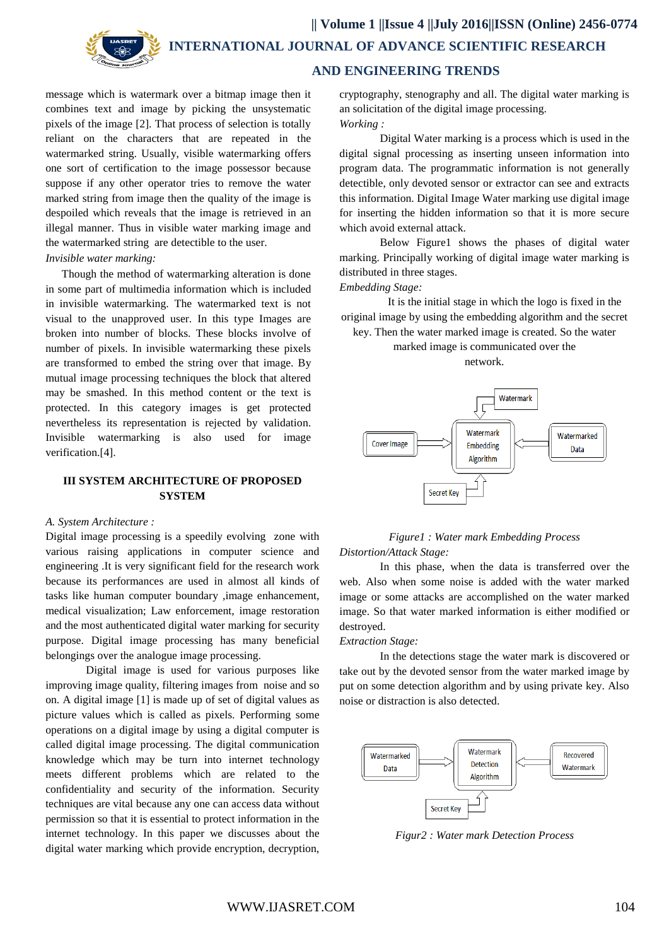message which is watermark over a bitmap image then it combines text and image by picking the unsystematic pixels of the image [2]. That process of selection is totally reliant on the characters that are repeated in the watermarked string. Usually, visible watermarking offers one sort of certification to the image possessor because suppose if any other operator tries to remove the water marked string from image then the quality of the image is despoiled which reveals that the image is retrieved in an illegal manner. Thus in visible water marking image and the watermarked string are detectible to the user.

#### *Invisible water marking:*

Though the method of watermarking alteration is done in some part of multimedia information which is included in invisible watermarking. The watermarked text is not visual to the unapproved user. In this type Images are broken into number of blocks. These blocks involve of number of pixels. In invisible watermarking these pixels are transformed to embed the string over that image. By mutual image processing techniques the block that altered may be smashed. In this method content or the text is protected. In this category images is get protected nevertheless its representation is rejected by validation. Invisible watermarking is also used for image verification.[4].

### **III SYSTEM ARCHITECTURE OF PROPOSED SYSTEM**

#### *A. System Architecture :*

Digital image processing is a speedily evolving zone with various raising applications in computer science and engineering .It is very significant field for the research work because its performances are used in almost all kinds of tasks like human computer boundary ,image enhancement, medical visualization; Law enforcement, image restoration and the most authenticated digital water marking for security purpose. Digital image processing has many beneficial belongings over the analogue image processing.

Digital image is used for various purposes like improving image quality, filtering images from noise and so on. A digital image [1] is made up of set of digital values as picture values which is called as pixels. Performing some operations on a digital image by using a digital computer is called digital image processing. The digital communication knowledge which may be turn into internet technology meets different problems which are related to the confidentiality and security of the information. Security techniques are vital because any one can access data without permission so that it is essential to protect information in the internet technology. In this paper we discusses about the digital water marking which provide encryption, decryption,

cryptography, stenography and all. The digital water marking is an solicitation of the digital image processing. *Working :*

Digital Water marking is a process which is used in the digital signal processing as inserting unseen information into program data. The programmatic information is not generally detectible, only devoted sensor or extractor can see and extracts this information. Digital Image Water marking use digital image for inserting the hidden information so that it is more secure which avoid external attack.

Below Figure1 shows the phases of digital water marking. Principally working of digital image water marking is distributed in three stages.

#### *Embedding Stage:*

It is the initial stage in which the logo is fixed in the original image by using the embedding algorithm and the secret

key. Then the water marked image is created. So the water marked image is communicated over the

network.



#### *Figure1 : Water mark Embedding Process Distortion/Attack Stage:*

In this phase, when the data is transferred over the web. Also when some noise is added with the water marked image or some attacks are accomplished on the water marked image. So that water marked information is either modified or destroyed.

#### *Extraction Stage:*

In the detections stage the water mark is discovered or take out by the devoted sensor from the water marked image by put on some detection algorithm and by using private key. Also noise or distraction is also detected.



*Figur2 : Water mark Detection Process*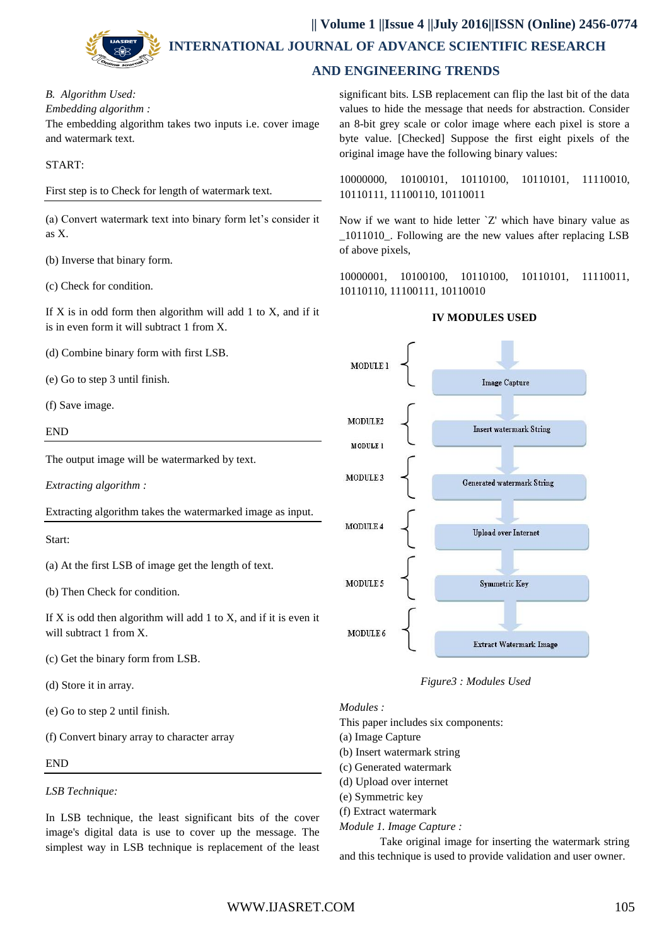

 **INTERNATIONAL JOURNAL OF ADVANCE SCIENTIFIC RESEARCH** 

# **AND ENGINEERING TRENDS**

# *B. Algorithm Used:*

*Embedding algorithm :*

The embedding algorithm takes two inputs i.e. cover image and watermark text.

#### START:

First step is to Check for length of watermark text.

(a) Convert watermark text into binary form let's consider it as X.

(b) Inverse that binary form.

(c) Check for condition.

If  $X$  is in odd form then algorithm will add 1 to  $X$ , and if it is in even form it will subtract 1 from X.

(d) Combine binary form with first LSB.

(e) Go to step 3 until finish.

(f) Save image.

END

The output image will be watermarked by text.

*Extracting algorithm :*

Extracting algorithm takes the watermarked image as input.

#### Start:

(a) At the first LSB of image get the length of text.

(b) Then Check for condition.

If X is odd then algorithm will add 1 to X, and if it is even it will subtract 1 from X.

(c) Get the binary form from LSB.

(d) Store it in array.

(e) Go to step 2 until finish.

(f) Convert binary array to character array

END

#### *LSB Technique:*

In LSB technique, the least significant bits of the cover image's digital data is use to cover up the message. The simplest way in LSB technique is replacement of the least significant bits. LSB replacement can flip the last bit of the data values to hide the message that needs for abstraction. Consider an 8-bit grey scale or color image where each pixel is store a byte value. [Checked] Suppose the first eight pixels of the original image have the following binary values:

10000000, 10100101, 10110100, 10110101, 11110010, 10110111, 11100110, 10110011

Now if we want to hide letter `Z' which have binary value as \_1011010\_. Following are the new values after replacing LSB of above pixels,

10000001, 10100100, 10110100, 10110101, 11110011, 10110110, 11100111, 10110010

#### **IV MODULES USED**





#### *Modules :*

This paper includes six components:

(a) Image Capture

(b) Insert watermark string

- (c) Generated watermark
- (d) Upload over internet
- (e) Symmetric key
- (f) Extract watermark

*Module 1. Image Capture :*

Take original image for inserting the watermark string and this technique is used to provide validation and user owner.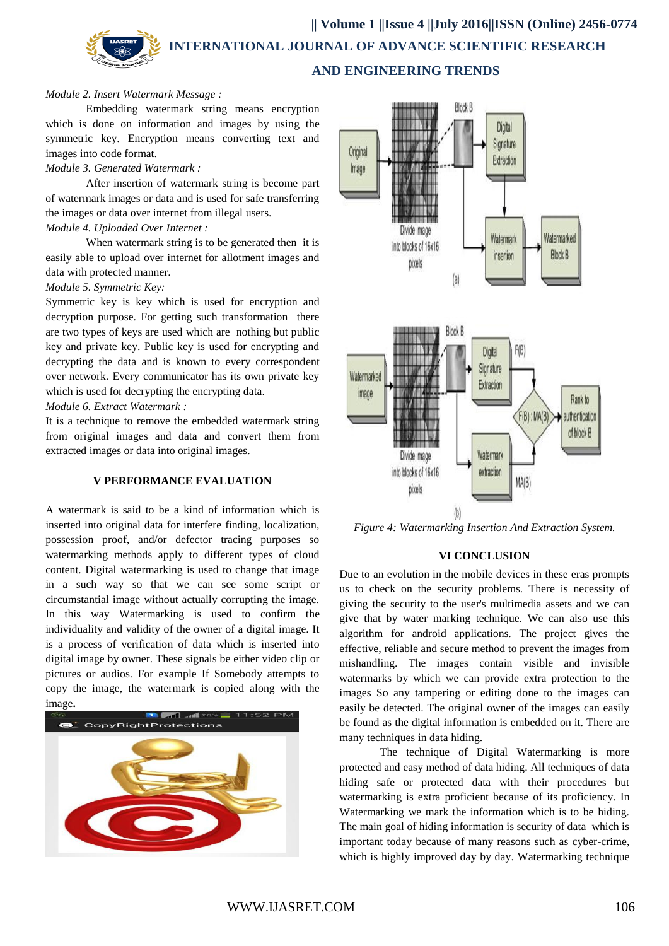**|| Volume 1 ||Issue 4 ||July 2016||ISSN (Online) 2456-0774 INTERNATIONAL JOURNAL OF ADVANCE SCIENTIFIC RESEARCH AND ENGINEERING TRENDS**

#### *Module 2. Insert Watermark Message :*

Embedding watermark string means encryption which is done on information and images by using the symmetric key. Encryption means converting text and images into code format.

#### *Module 3. Generated Watermark :*

After insertion of watermark string is become part of watermark images or data and is used for safe transferring the images or data over internet from illegal users. *Module 4. Uploaded Over Internet :*

When watermark string is to be generated then it is easily able to upload over internet for allotment images and data with protected manner.

#### *Module 5. Symmetric Key:*

Symmetric key is key which is used for encryption and decryption purpose. For getting such transformation there are two types of keys are used which are nothing but public key and private key. Public key is used for encrypting and decrypting the data and is known to every correspondent over network. Every communicator has its own private key which is used for decrypting the encrypting data.

#### *Module 6. Extract Watermark :*

It is a technique to remove the embedded watermark string from original images and data and convert them from extracted images or data into original images.

#### **V PERFORMANCE EVALUATION**

A watermark is said to be a kind of information which is inserted into original data for interfere finding, localization, possession proof, and/or defector tracing purposes so watermarking methods apply to different types of cloud content. Digital watermarking is used to change that image in a such way so that we can see some script or circumstantial image without actually corrupting the image. In this way Watermarking is used to confirm the individuality and validity of the owner of a digital image. It is a process of verification of data which is inserted into digital image by owner. These signals be either video clip or pictures or audios. For example If Somebody attempts to copy the image, the watermark is copied along with the image**.**





*Figure 4: Watermarking Insertion And Extraction System.*

#### **VI CONCLUSION**

Due to an evolution in the mobile devices in these eras prompts us to check on the security problems. There is necessity of giving the security to the user's multimedia assets and we can give that by water marking technique. We can also use this algorithm for android applications. The project gives the effective, reliable and secure method to prevent the images from mishandling. The images contain visible and invisible watermarks by which we can provide extra protection to the images So any tampering or editing done to the images can easily be detected. The original owner of the images can easily be found as the digital information is embedded on it. There are many techniques in data hiding.

The technique of Digital Watermarking is more protected and easy method of data hiding. All techniques of data hiding safe or protected data with their procedures but watermarking is extra proficient because of its proficiency. In Watermarking we mark the information which is to be hiding. The main goal of hiding information is security of data which is important today because of many reasons such as cyber-crime, which is highly improved day by day. Watermarking technique